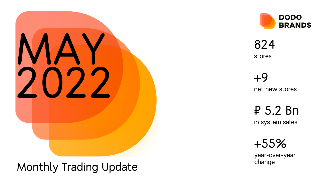

### Monthly Trading Update



824 stores

> +9 net new stores

₽ 5.2 Bn

in system sales

+55%

year -over -year change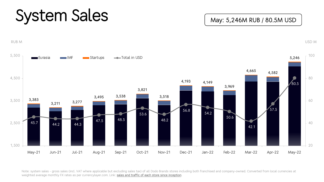## System Sales

RUB M



Note: system sales - gross sales (incl. VAT where applicable but excluding sales tax) of all Dodo Brands stores including both franc weighted average monthly FX rates as per currencylayer.com. Link: sales and traffic of each store since inception.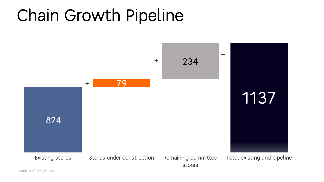### Chain Growth Pipeline

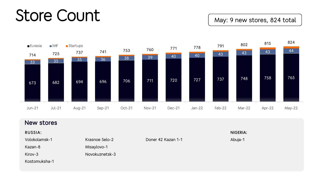### Store Count

May: 9 new stores, 824 total



| New stores     |                |                    |          |  |  |  |  |  |
|----------------|----------------|--------------------|----------|--|--|--|--|--|
| <b>RUSSIA:</b> |                |                    | NIGERIA: |  |  |  |  |  |
| Volokolamsk-1  | Krasnoe Selo-2 | Doner 42 Kazan 1-1 | Abuja-1  |  |  |  |  |  |
| Kazan-8        | Misaylovo-1    |                    |          |  |  |  |  |  |
| Kirov-3        | Novokuznetsk-3 |                    |          |  |  |  |  |  |
| Kostomuksha-1  |                |                    |          |  |  |  |  |  |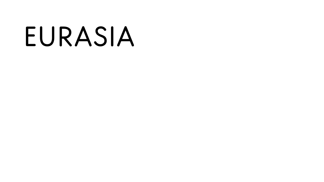# EURASIA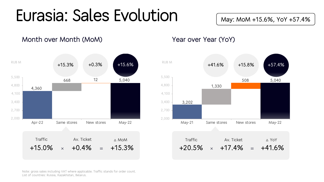### Eurasia: Sales Evolution

May: MoM +15.6%, YoY +57.4%

Month over Month (MoM) Now Year over Year (YoY)





Note: gross sales including VAT where applicable. Traffic stands for order count. List of countries: Russia, Kazakhstan, Belarus.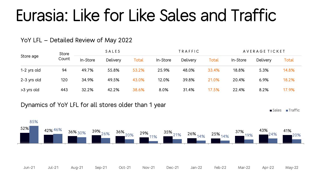### Eurasia: Like for Like Sales and Traffic

#### YoY LFL – Detailed Review of May 2022

| Store age   | <b>Store</b> | SALES    |          |       | TRAFFIC  |          |       | AVERAGE TICKET |                 |              |
|-------------|--------------|----------|----------|-------|----------|----------|-------|----------------|-----------------|--------------|
|             | Count        | In-Store | Delivery | Total | In-Store | Delivery | Total | In-Store       | <b>Delivery</b> | <b>Total</b> |
| 1-2 yrs old | 94           | 49.7%    | 55.8%    | 53.2% | 25.9%    | 48.0%    | 33.4% | 18.8%          | 5.3%            | 14.8%        |
| 2-3 yrs old | 120          | 34.9%    | 49.5%    | 43.0% | 12.0%    | 39.8%    | 21.0% | 20.4%          | 6.9%            | 18.2%        |
| >3 yrs old  | 443          | 32.2%    | 42.2%    | 38.6% | 8.0%     | 31.4%    | 17.5% | 22.4%          | 8.2%            | 17.9%        |

#### Dynamics of YoY LFL for all stores older than 1 year

Sales Traffic

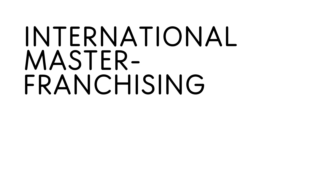## INTERNATIONAL MASTER-FRANCHISING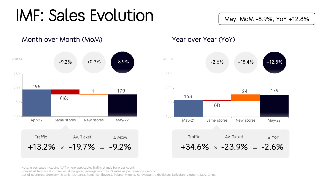### IMF: Sales Evolution

May: MoM -8.9%, YoY +12.8%



Month over Month (MoM) Year over Year (YoY)



Note: gross sales including VAT where applicable. Traffic stands for order count. Converted from local currencies at weighted average monthly FX rates as per currencylayer.com. List of countries: Germany, Estonia, Lithuania, Romania, Slovenia, Poland, Nigeria, Kyrgyzstan, Uzbekistan, Tajikistan, Vietnam, USA, China.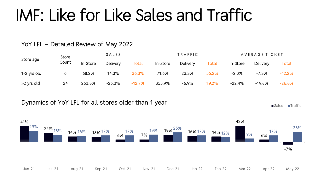### IMF: Like for Like Sales and Traffic

### YoY LFL – Detailed Review of May 2022

| Store age   | Store | SALES    |          |          | TRAFFIC  |          |       | AVERAGE TICKET |          |          |
|-------------|-------|----------|----------|----------|----------|----------|-------|----------------|----------|----------|
|             | Count | In-Store | Delivery | Total    | In-Store | Delivery | Total | In-Store       | Delivery | Total    |
| 1-2 yrs old |       | 68.2%    | 14.3%    | 36.3%    | 71.6%    | 23.3%    | 55.2% | $-2.0%$        | $-7.3%$  | $-12.2%$ |
| >2 yrs old  | 24    | 253.8%   | $-25.3%$ | $-12.7%$ | 355.9%   | $-6.9%$  | 19.2% | $-22.4%$       | $-19.8%$ | $-26.8%$ |

#### Dynamics of YoY LFL for all stores older than 1 year

Sales Traffic

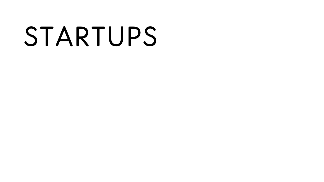# STARTUPS